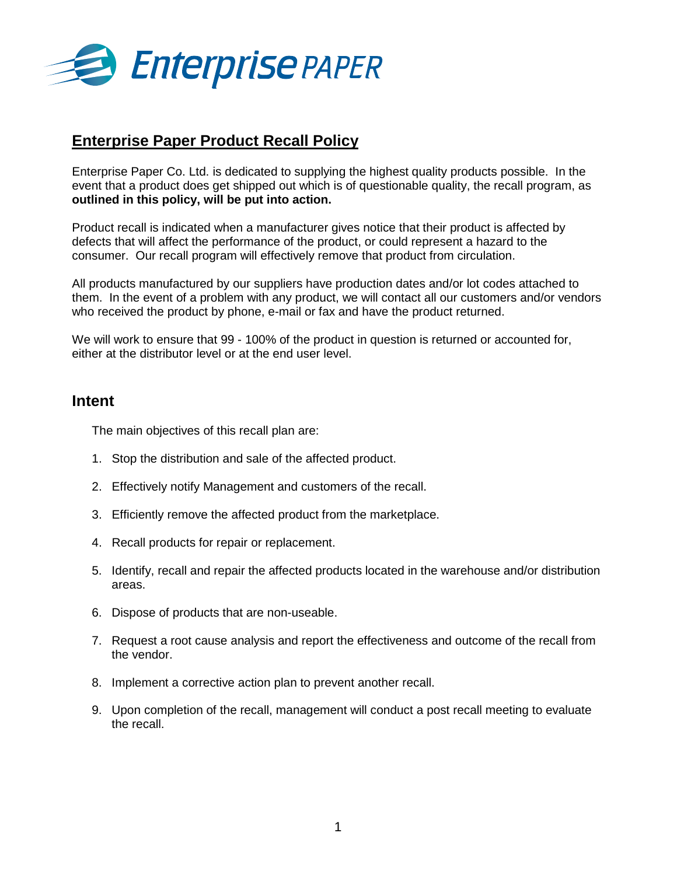

### **Enterprise Paper Product Recall Policy**

Enterprise Paper Co. Ltd. is dedicated to supplying the highest quality products possible. In the event that a product does get shipped out which is of questionable quality, the recall program, as **outlined in this policy, will be put into action.** 

Product recall is indicated when a manufacturer gives notice that their product is affected by defects that will affect the performance of the product, or could represent a hazard to the consumer. Our recall program will effectively remove that product from circulation.

All products manufactured by our suppliers have production dates and/or lot codes attached to them. In the event of a problem with any product, we will contact all our customers and/or vendors who received the product by phone, e-mail or fax and have the product returned.

We will work to ensure that 99 - 100% of the product in question is returned or accounted for, either at the distributor level or at the end user level.

#### **Intent**

The main objectives of this recall plan are:

- 1. Stop the distribution and sale of the affected product.
- 2. Effectively notify Management and customers of the recall.
- 3. Efficiently remove the affected product from the marketplace.
- 4. Recall products for repair or replacement.
- 5. Identify, recall and repair the affected products located in the warehouse and/or distribution areas.
- 6. Dispose of products that are non-useable.
- 7. Request a root cause analysis and report the effectiveness and outcome of the recall from the vendor.
- 8. Implement a corrective action plan to prevent another recall.
- 9. Upon completion of the recall, management will conduct a post recall meeting to evaluate the recall.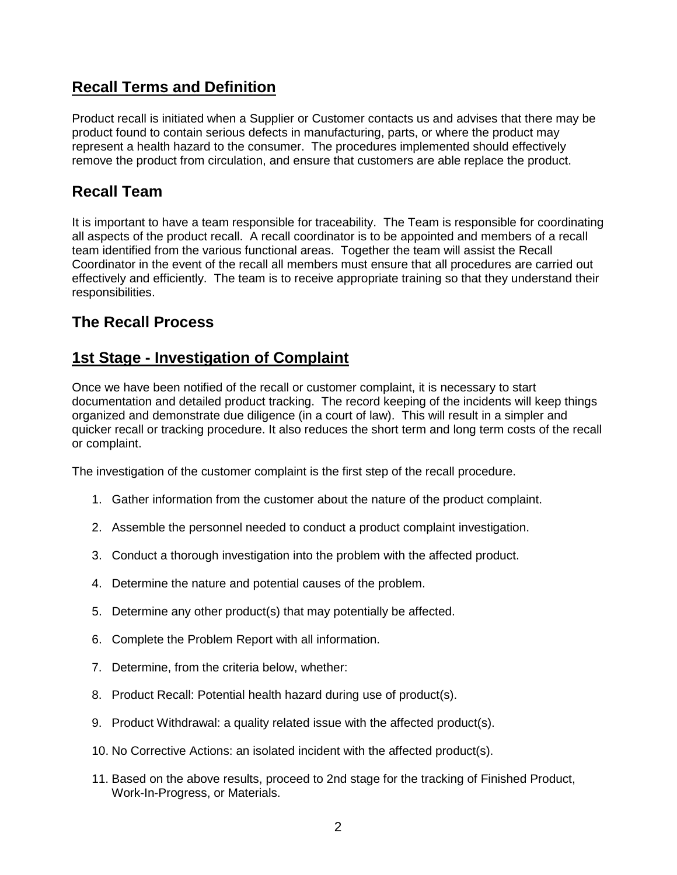## **Recall Terms and Definition**

Product recall is initiated when a Supplier or Customer contacts us and advises that there may be product found to contain serious defects in manufacturing, parts, or where the product may represent a health hazard to the consumer. The procedures implemented should effectively remove the product from circulation, and ensure that customers are able replace the product.

### **Recall Team**

It is important to have a team responsible for traceability. The Team is responsible for coordinating all aspects of the product recall. A recall coordinator is to be appointed and members of a recall team identified from the various functional areas. Together the team will assist the Recall Coordinator in the event of the recall all members must ensure that all procedures are carried out effectively and efficiently. The team is to receive appropriate training so that they understand their responsibilities.

## **The Recall Process**

### **1st Stage - Investigation of Complaint**

Once we have been notified of the recall or customer complaint, it is necessary to start documentation and detailed product tracking. The record keeping of the incidents will keep things organized and demonstrate due diligence (in a court of law). This will result in a simpler and quicker recall or tracking procedure. It also reduces the short term and long term costs of the recall or complaint.

The investigation of the customer complaint is the first step of the recall procedure.

- 1. Gather information from the customer about the nature of the product complaint.
- 2. Assemble the personnel needed to conduct a product complaint investigation.
- 3. Conduct a thorough investigation into the problem with the affected product.
- 4. Determine the nature and potential causes of the problem.
- 5. Determine any other product(s) that may potentially be affected.
- 6. Complete the Problem Report with all information.
- 7. Determine, from the criteria below, whether:
- 8. Product Recall: Potential health hazard during use of product(s).
- 9. Product Withdrawal: a quality related issue with the affected product(s).
- 10. No Corrective Actions: an isolated incident with the affected product(s).
- 11. Based on the above results, proceed to 2nd stage for the tracking of Finished Product, Work-In-Progress, or Materials.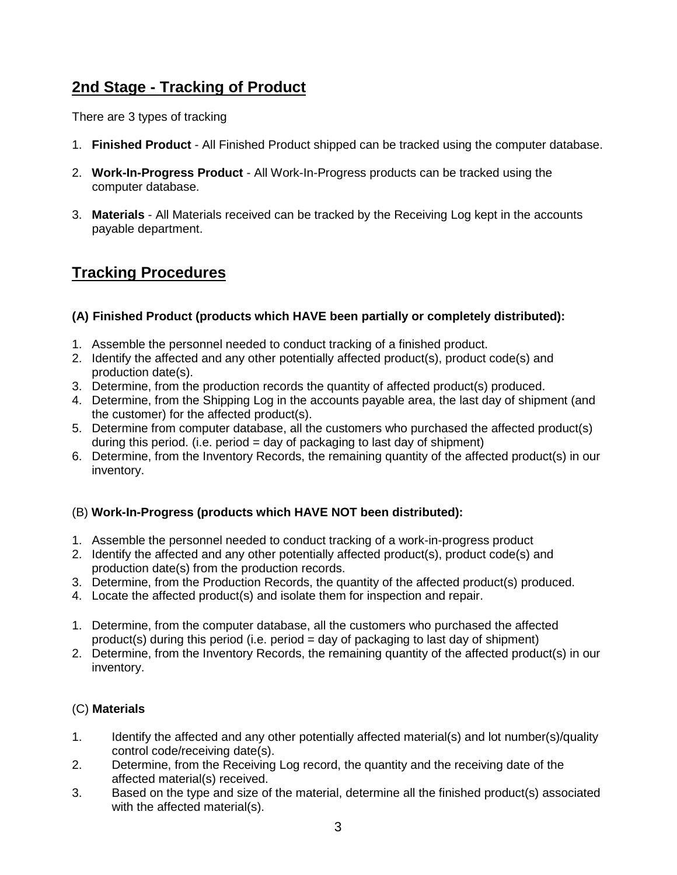# **2nd Stage - Tracking of Product**

There are 3 types of tracking

- 1. **Finished Product** All Finished Product shipped can be tracked using the computer database.
- 2. **Work-In-Progress Product** All Work-In-Progress products can be tracked using the computer database.
- 3. **Materials**  All Materials received can be tracked by the Receiving Log kept in the accounts payable department.

# **Tracking Procedures**

#### **(A) Finished Product (products which HAVE been partially or completely distributed):**

- 1. Assemble the personnel needed to conduct tracking of a finished product.
- 2. Identify the affected and any other potentially affected product(s), product code(s) and production date(s).
- 3. Determine, from the production records the quantity of affected product(s) produced.
- 4. Determine, from the Shipping Log in the accounts payable area, the last day of shipment (and the customer) for the affected product(s).
- 5. Determine from computer database, all the customers who purchased the affected product(s) during this period. (i.e. period  $=$  day of packaging to last day of shipment)
- 6. Determine, from the Inventory Records, the remaining quantity of the affected product(s) in our inventory.

#### (B) **Work-In-Progress (products which HAVE NOT been distributed):**

- 1. Assemble the personnel needed to conduct tracking of a work-in-progress product
- 2. Identify the affected and any other potentially affected product(s), product code(s) and production date(s) from the production records.
- 3. Determine, from the Production Records, the quantity of the affected product(s) produced.
- 4. Locate the affected product(s) and isolate them for inspection and repair.
- 1. Determine, from the computer database, all the customers who purchased the affected product(s) during this period (i.e. period  $=$  day of packaging to last day of shipment)
- 2. Determine, from the Inventory Records, the remaining quantity of the affected product(s) in our inventory.

#### (C) **Materials**

- 1. Identify the affected and any other potentially affected material(s) and lot number(s)/quality control code/receiving date(s).
- 2. Determine, from the Receiving Log record, the quantity and the receiving date of the affected material(s) received.
- 3. Based on the type and size of the material, determine all the finished product(s) associated with the affected material(s).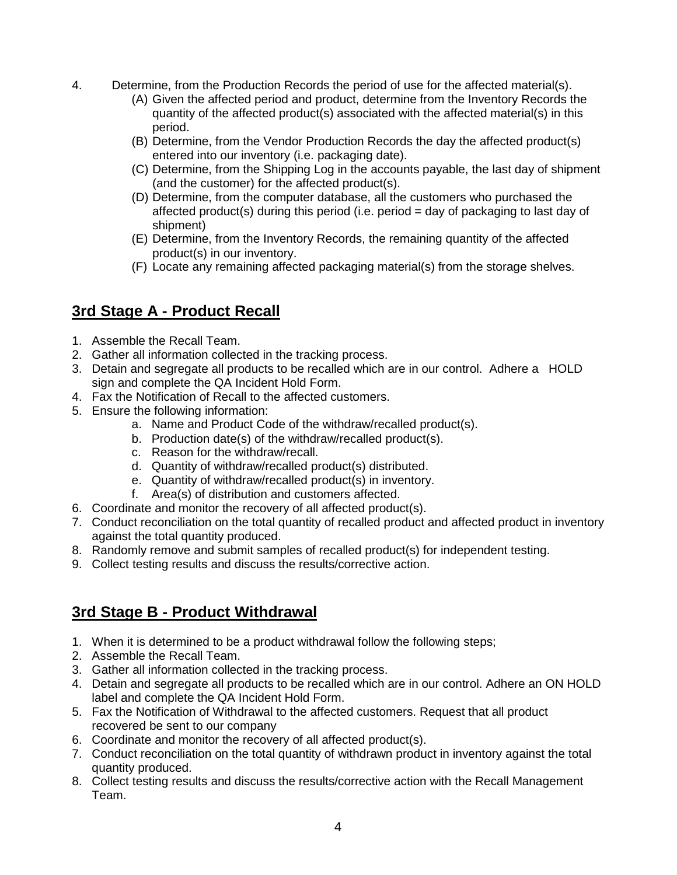- 4. Determine, from the Production Records the period of use for the affected material(s).
	- (A) Given the affected period and product, determine from the Inventory Records the quantity of the affected product(s) associated with the affected material(s) in this period.
	- (B) Determine, from the Vendor Production Records the day the affected product(s) entered into our inventory (i.e. packaging date).
	- (C) Determine, from the Shipping Log in the accounts payable, the last day of shipment (and the customer) for the affected product(s).
	- (D) Determine, from the computer database, all the customers who purchased the affected product(s) during this period (i.e. period  $=$  day of packaging to last day of shipment)
	- (E) Determine, from the Inventory Records, the remaining quantity of the affected product(s) in our inventory.
	- (F) Locate any remaining affected packaging material(s) from the storage shelves.

# **3rd Stage A - Product Recall**

- 1. Assemble the Recall Team.
- 2. Gather all information collected in the tracking process.
- 3. Detain and segregate all products to be recalled which are in our control. Adhere a HOLD sign and complete the QA Incident Hold Form.
- 4. Fax the Notification of Recall to the affected customers.
- 5. Ensure the following information:
	- a. Name and Product Code of the withdraw/recalled product(s).
	- b. Production date(s) of the withdraw/recalled product(s).
	- c. Reason for the withdraw/recall.
	- d. Quantity of withdraw/recalled product(s) distributed.
	- e. Quantity of withdraw/recalled product(s) in inventory.
	- f. Area(s) of distribution and customers affected.
- 6. Coordinate and monitor the recovery of all affected product(s).
- 7. Conduct reconciliation on the total quantity of recalled product and affected product in inventory against the total quantity produced.
- 8. Randomly remove and submit samples of recalled product(s) for independent testing.
- 9. Collect testing results and discuss the results/corrective action.

#### **3rd Stage B - Product Withdrawal**

- 1. When it is determined to be a product withdrawal follow the following steps;
- 2. Assemble the Recall Team.
- 3. Gather all information collected in the tracking process.
- 4. Detain and segregate all products to be recalled which are in our control. Adhere an ON HOLD label and complete the QA Incident Hold Form.
- 5. Fax the Notification of Withdrawal to the affected customers. Request that all product recovered be sent to our company
- 6. Coordinate and monitor the recovery of all affected product(s).
- 7. Conduct reconciliation on the total quantity of withdrawn product in inventory against the total quantity produced.
- 8. Collect testing results and discuss the results/corrective action with the Recall Management Team.